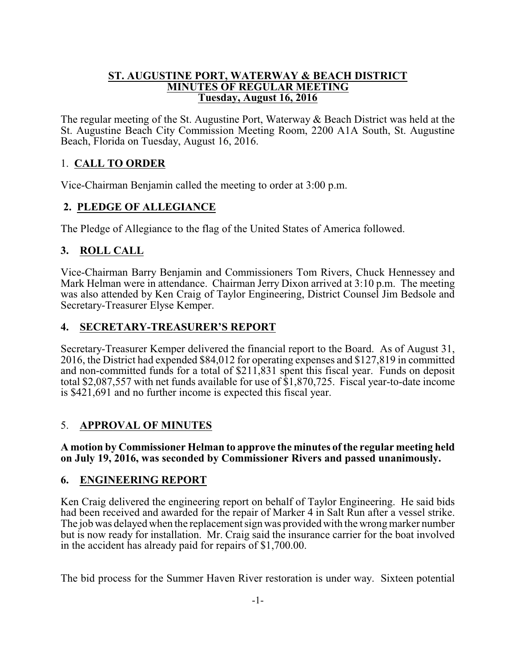#### **ST. AUGUSTINE PORT, WATERWAY & BEACH DISTRICT MINUTES OF REGULAR MEETING Tuesday, August 16, 2016**

The regular meeting of the St. Augustine Port, Waterway & Beach District was held at the St. Augustine Beach City Commission Meeting Room, 2200 A1A South, St. Augustine Beach, Florida on Tuesday, August 16, 2016.

# 1. **CALL TO ORDER**

Vice-Chairman Benjamin called the meeting to order at 3:00 p.m.

# **2. PLEDGE OF ALLEGIANCE**

The Pledge of Allegiance to the flag of the United States of America followed.

# **3. ROLL CALL**

Vice-Chairman Barry Benjamin and Commissioners Tom Rivers, Chuck Hennessey and Mark Helman were in attendance. Chairman Jerry Dixon arrived at 3:10 p.m. The meeting was also attended by Ken Craig of Taylor Engineering, District Counsel Jim Bedsole and Secretary-Treasurer Elyse Kemper.

### **4. SECRETARY-TREASURER'S REPORT**

Secretary-Treasurer Kemper delivered the financial report to the Board. As of August 31, 2016, the District had expended \$84,012 for operating expenses and \$127,819 in committed and non-committed funds for a total of \$211,831 spent this fiscal year. Funds on deposit total \$2,087,557 with net funds available for use of \$1,870,725. Fiscal year-to-date income is \$421,691 and no further income is expected this fiscal year.

# 5. **APPROVAL OF MINUTES**

#### **A motion by Commissioner Helman to approve the minutes of the regular meeting held on July 19, 2016, was seconded by Commissioner Rivers and passed unanimously.**

### **6. ENGINEERING REPORT**

Ken Craig delivered the engineering report on behalf of Taylor Engineering. He said bids had been received and awarded for the repair of Marker 4 in Salt Run after a vessel strike. The job was delayed when the replacement sign was provided with the wrong marker number but is now ready for installation. Mr. Craig said the insurance carrier for the boat involved in the accident has already paid for repairs of \$1,700.00.

The bid process for the Summer Haven River restoration is under way. Sixteen potential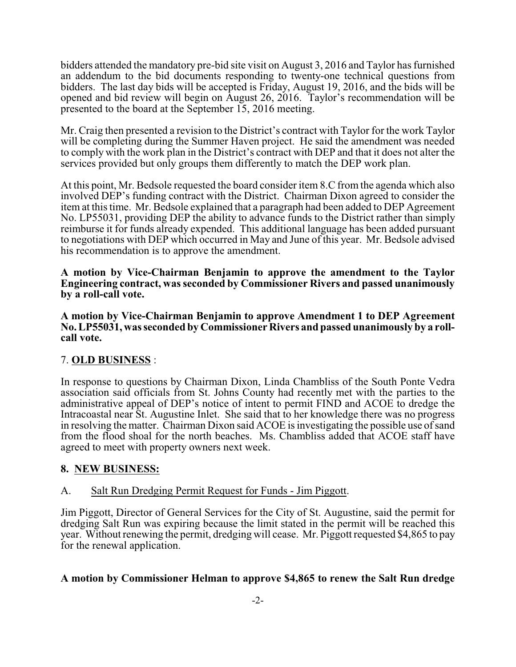bidders attended the mandatory pre-bid site visit on August 3, 2016 and Taylor has furnished an addendum to the bid documents responding to twenty-one technical questions from bidders. The last day bids will be accepted is Friday, August 19, 2016, and the bids will be opened and bid review will begin on August 26, 2016. Taylor's recommendation will be presented to the board at the September 15, 2016 meeting.

Mr. Craig then presented a revision to the District's contract with Taylor for the work Taylor will be completing during the Summer Haven project. He said the amendment was needed to comply with the work plan in the District's contract with DEP and that it does not alter the services provided but only groups them differently to match the DEP work plan.

At this point, Mr. Bedsole requested the board consider item 8.C from the agenda which also involved DEP's funding contract with the District. Chairman Dixon agreed to consider the item at this time. Mr. Bedsole explained that a paragraph had been added to DEP Agreement No. LP55031, providing DEP the ability to advance funds to the District rather than simply reimburse it for funds already expended. This additional language has been added pursuant to negotiations with DEP which occurred in May and June of this year. Mr. Bedsole advised his recommendation is to approve the amendment.

**A motion by Vice-Chairman Benjamin to approve the amendment to the Taylor Engineering contract, was seconded by Commissioner Rivers and passed unanimously by a roll-call vote.**

**A motion by Vice-Chairman Benjamin to approve Amendment 1 to DEP Agreement No. LP55031, was seconded by Commissioner Rivers and passed unanimously by a rollcall vote.**

### 7. **OLD BUSINESS** :

In response to questions by Chairman Dixon, Linda Chambliss of the South Ponte Vedra association said officials from St. Johns County had recently met with the parties to the administrative appeal of DEP's notice of intent to permit FIND and ACOE to dredge the Intracoastal near St. Augustine Inlet. She said that to her knowledge there was no progress in resolving the matter. Chairman Dixon said ACOE is investigating the possible use ofsand from the flood shoal for the north beaches. Ms. Chambliss added that ACOE staff have agreed to meet with property owners next week.

### **8. NEW BUSINESS:**

#### A. Salt Run Dredging Permit Request for Funds - Jim Piggott.

Jim Piggott, Director of General Services for the City of St. Augustine, said the permit for dredging Salt Run was expiring because the limit stated in the permit will be reached this year. Without renewing the permit, dredging will cease. Mr. Piggott requested \$4,865 to pay for the renewal application.

#### **A motion by Commissioner Helman to approve \$4,865 to renew the Salt Run dredge**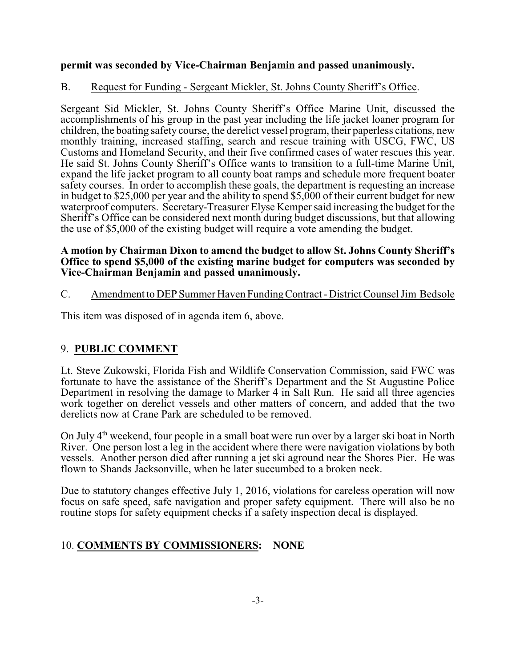### **permit was seconded by Vice-Chairman Benjamin and passed unanimously.**

#### B. Request for Funding - Sergeant Mickler, St. Johns County Sheriff's Office.

Sergeant Sid Mickler, St. Johns County Sheriff's Office Marine Unit, discussed the accomplishments of his group in the past year including the life jacket loaner program for children, the boating safety course, the derelict vessel program, their paperless citations, new monthly training, increased staffing, search and rescue training with USCG, FWC, US Customs and Homeland Security, and their five confirmed cases of water rescues this year. He said St. Johns County Sheriff's Office wants to transition to a full-time Marine Unit, expand the life jacket program to all county boat ramps and schedule more frequent boater safety courses. In order to accomplish these goals, the department is requesting an increase in budget to \$25,000 per year and the ability to spend \$5,000 of their current budget for new waterproof computers. Secretary-Treasurer Elyse Kemper said increasing the budget for the Sheriff's Office can be considered next month during budget discussions, but that allowing the use of \$5,000 of the existing budget will require a vote amending the budget.

#### **A motion by Chairman Dixon to amend the budget to allow St. Johns County Sheriff's Office to spend \$5,000 of the existing marine budget for computers was seconded by Vice-Chairman Benjamin and passed unanimously.**

### C. Amendment to DEP Summer Haven FundingContract -District Counsel Jim Bedsole

This item was disposed of in agenda item 6, above.

### 9. **PUBLIC COMMENT**

Lt. Steve Zukowski, Florida Fish and Wildlife Conservation Commission, said FWC was fortunate to have the assistance of the Sheriff's Department and the St Augustine Police Department in resolving the damage to Marker 4 in Salt Run. He said all three agencies work together on derelict vessels and other matters of concern, and added that the two derelicts now at Crane Park are scheduled to be removed.

On July 4<sup>th</sup> weekend, four people in a small boat were run over by a larger ski boat in North River. One person lost a leg in the accident where there were navigation violations by both vessels. Another person died after running a jet ski aground near the Shores Pier. He was flown to Shands Jacksonville, when he later succumbed to a broken neck.

Due to statutory changes effective July 1, 2016, violations for careless operation will now focus on safe speed, safe navigation and proper safety equipment. There will also be no routine stops for safety equipment checks if a safety inspection decal is displayed.

### 10. **COMMENTS BY COMMISSIONERS: NONE**